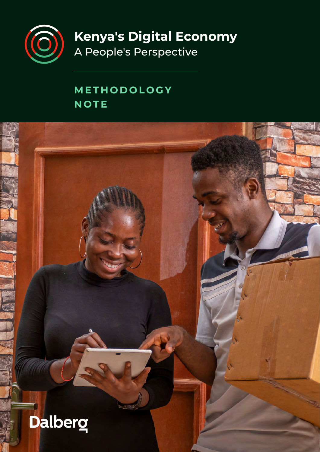

**Kenya's Digital Economy** 

A People's Perspective

## **METHODOLOGY NOTE**

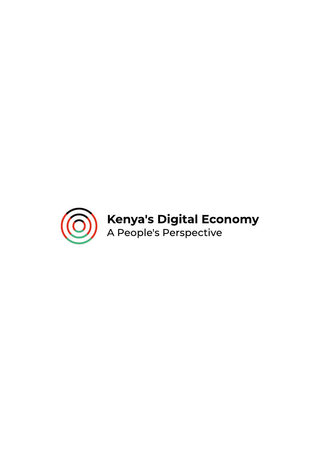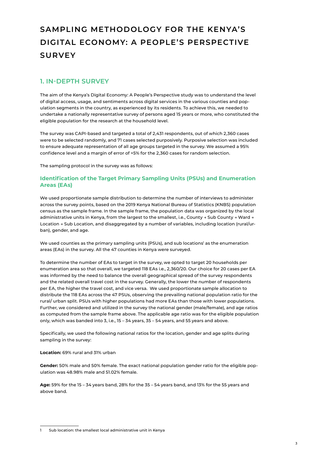## **SAMPLING METHODOLOGY FOR THE KENYA'S DIGITAL ECONOMY: A PEOPLE'S PERSPECTIVE SURVEY**

## **1. IN-DEPTH SURVEY**

The aim of the Kenya's Digital Economy: A People's Perspective study was to understand the level of digital access, usage, and sentiments across digital services in the various counties and population segments in the country, as experienced by its residents. To achieve this, we needed to undertake a nationally representative survey of persons aged 15 years or more, who constituted the eligible population for the research at the household level.

The survey was CAPI-based and targeted a total of 2,431 respondents, out of which 2,360 cases were to be selected randomly, and 71 cases selected purposively. Purposive selection was included to ensure adequate representation of all age groups targeted in the survey. We assumed a 95% confidence level and a margin of error of +5% for the 2,360 cases for random selection.

The sampling protocol in the survey was as follows:

#### **Identification of the Target Primary Sampling Units (PSUs) and Enumeration Areas (EAs)**

We used proportionate sample distribution to determine the number of interviews to administer across the survey points, based on the 2019 Kenya National Bureau of Statistics (KNBS) population census as the sample frame. In the sample frame, the population data was organized by the local administrative units in Kenya, from the largest to the smallest, i.e., County → Sub County → Ward → Location → Sub Location, and disaggregated by a number of variables, including location (rural/urban), gender, and age.

We used counties as the primary sampling units (PSUs), and sub locations<sup>1</sup> as the enumeration areas (EAs) in the survey. All the 47 counties in Kenya were surveyed.

To determine the number of EAs to target in the survey, we opted to target 20 households per enumeration area so that overall, we targeted 118 EAs i.e., 2,360/20. Our choice for 20 cases per EA was informed by the need to balance the overall geographical spread of the survey respondents and the related overall travel cost in the survey. Generally, the lower the number of respondents per EA, the higher the travel cost, and vice versa. We used proportionate sample allocation to distribute the 118 EAs across the 47 PSUs, observing the prevailing national population ratio for the rural/ urban split. PSUs with higher populations had more EAs than those with lower populations. Further, we considered and utilized in the survey the national gender (male/female), and age ratios as computed from the sample frame above. The applicable age ratio was for the eligible population only, which was banded into 3, i.e., 15 – 34 years, 35 – 54 years, and 55 years and above.

Specifically, we used the following national ratios for the location, gender and age splits during sampling in the survey:

#### **Location:** 69% rural and 31% urban

**Gender:** 50% male and 50% female. The exact national population gender ratio for the eligible population was 48.98% male and 51.02% female.

**Age:** 59% for the 15 – 34 years band, 28% for the 35 – 54 years band, and 13% for the 55 years and above band.

<sup>1</sup> Sub location: the smallest local administrative unit in Kenya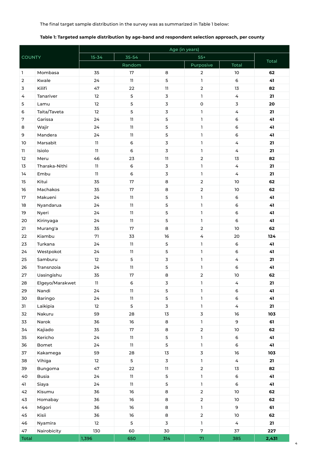The final target sample distribution in the survey was as summarized in Table 1 below:

#### **Table 1: Targeted sample distribution by age-band and respondent selection approach, per county**

|                |                 | Age (in years)    |        |                         |                     |                 |       |  |  |
|----------------|-----------------|-------------------|--------|-------------------------|---------------------|-----------------|-------|--|--|
| <b>COUNTY</b>  |                 | $15 - 34$         | 35-54  |                         | $55+$               |                 |       |  |  |
|                |                 |                   | Random |                         | Purposive           | Total           | Total |  |  |
| $\mathbf{1}$   | Mombasa         | 35                | 17     | 8                       | $\overline{2}$      | 10              | 62    |  |  |
| $\overline{2}$ | Kwale           | 24                | 11     | 5                       | $\mathbf{I}$        | $\mathsf 6$     | 41    |  |  |
| 3              | Kilifi          | 47                | 22     | 11                      | $\overline{2}$      | 13              | 82    |  |  |
| 4              | Tanariver       | 12                | 5      | $\mathbf 3$             | $\mathbf{I}$        | 4               | 21    |  |  |
| 5              | Lamu            | 12                | 5      | $\mathbf 3$             | $\mathsf{O}\xspace$ | 3               | 20    |  |  |
| 6              | Taita/Taveta    | 12                | 5      | $\overline{3}$          | $\mathbf{I}$        | 4               | 21    |  |  |
| 7              | Garissa         | 24                | 11     | 5                       | $\mathbf{I}$        | 6               | 41    |  |  |
| 8              | Wajir           | 24                | 11     | 5                       | $\mathbf{I}$        | 6               | 41    |  |  |
| 9              | Mandera         | 24                | 11     | $\mathsf S$             | $\mathbf{I}$        | 6               | 41    |  |  |
| 10             | Marsabit        | 11                | 6      | $\mathsf 3$             | $\mathbf 1$         | 4               | 21    |  |  |
| 11             | Isiolo          | 11                | 6      | $\overline{3}$          | $\mathbf{I}$        | 4               | 21    |  |  |
| 12             | Meru            | 46                | 23     | 11                      | $\overline{2}$      | 13              | 82    |  |  |
| 13             | Tharaka-Nithi   | 11                | 6      | $\mathbf 3$             | 1                   | 4               | 21    |  |  |
| 14             | Embu            | 11                | 6      | $\mathsf 3$             | 1                   | 4               | 21    |  |  |
| 15             | Kitui           | 35                | 17     | 8                       | $\overline{2}$      | 10              | 62    |  |  |
| 16             | Machakos        | 35                | 17     | 8                       | $\mathbf 2$         | 10              | 62    |  |  |
| 17             | Makueni         | 24                | 11     | 5                       | $\mathbf{I}$        | 6               | 41    |  |  |
| 18             | Nyandarua       | 24                | 11     | 5                       | 1                   | 6               | 41    |  |  |
| 19             | Nyeri           | 24                | 11     | $\mathsf S$             | $\mathbf{1}$        | $\mathsf 6$     | 41    |  |  |
| 20             | Kirinyaga       | 24                | 11     | 5                       | $\mathbf{I}$        | 6               | 41    |  |  |
| 21             | Murang'a        | 35                | 17     | 8                       | $\overline{2}$      | 10              | 62    |  |  |
| 22             | Kiambu          | 71                | 33     | 16                      | 4                   | 20              | 124   |  |  |
| 23             | Turkana         | 24                | 11     | $\mathsf S$             | 1                   | 6               | 41    |  |  |
| 24             | Westpokot       | 24                | 11     | 5                       | $\mathbf{1}$        | 6               | 41    |  |  |
| 25             | Samburu         | 12                | 5      | $\mathsf 3$             | 1                   | 4               | 21    |  |  |
| 26             | Transnzoia      | 24                | 11     | $\mathsf S$             | 1                   | 6               | 41    |  |  |
| 27             | Uasingishu      | 35                | 17     | 8                       | $\overline{2}$      | 10              | 62    |  |  |
| 28             | Elgeyo/Marakwet | 11                | 6      | $\overline{3}$          | 1                   | 4               | 21    |  |  |
| 29             | Nandi           | 24                | 11     | $\mathsf S$             | $\mathbf{1}$        | 6               | 41    |  |  |
| 30             | Baringo         | 24                | 11     | 5                       | $\mathbf 1$         | 6               | 41    |  |  |
| 31             | Laikipia        | $12 \overline{ }$ | 5      | $\overline{\mathbf{3}}$ | $\mathbf 1$         | $\overline{4}$  | 21    |  |  |
| 32             | Nakuru          | 59                | 28     | 13                      | $\overline{3}$      | 16              | 103   |  |  |
| 33             | Narok           | 36                | $16\,$ | 8                       | $\mathbf 1$         | 9               | 61    |  |  |
| 34             | Kajiado         | 35                | 17     | 8                       | $\overline{2}$      | $10\,$          | 62    |  |  |
| 35             | Kericho         | 24                | 11     | 5                       | $\mathbf 1$         | 6               | 41    |  |  |
| 36             | Bomet           | 24                | 11     | 5                       | $\mathbf 1$         | 6               | 41    |  |  |
| 37             | Kakamega        | 59                | 28     | 13                      | $\overline{3}$      | 16              | 103   |  |  |
| 38             | Vihiga          | 12                | 5      | $\overline{\mathbf{3}}$ | $\mathbf 1$         | $\overline{4}$  | 21    |  |  |
| 39             | Bungoma         | 47                | 22     | 11                      | $\overline{2}$      | 13              | 82    |  |  |
| 40             | Busia           | 24                | 11     | 5                       | $\mathbf 1$         | $\mathsf 6$     | 41    |  |  |
| 41             | Siaya           | 24                | 11     | 5                       | $\mathbf 1$         | 6               | 41    |  |  |
| 42             | Kisumu          | 36                | 16     | 8                       | $\overline{2}$      | 10 <sup>°</sup> | 62    |  |  |
| 43             | Homabay         | 36                | 16     | 8                       | $\mathbf{2}$        | $10\,$          | 62    |  |  |
| 44             | Migori          | 36                | 16     | 8                       | $\mathbf{1}$        | 9               | 61    |  |  |
| 45             | Kisii           | 36                | 16     | 8                       | $\overline{2}$      | $10\,$          | 62    |  |  |
| 46             | Nyamira         | 12                | 5      | $\overline{3}$          | $\mathbf{1}$        | $\overline{4}$  | 21    |  |  |
| 47             | Nairobicity     | 130               | 60     | 30                      | $\sqrt{7}$          | 37              | 227   |  |  |
| Total          |                 | 1,396             | 650    | 314                     | 71                  | 385             | 2,431 |  |  |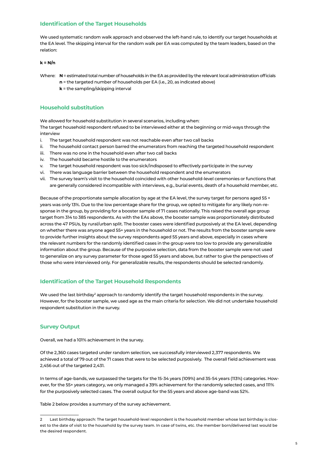#### **Identification of the Target Households**

We used systematic random walk approach and observed the left-hand rule, to identify our target households at the EA level. The skipping interval for the random walk per EA was computed by the team leaders, based on the relation:

#### **k = N/n**

Where: **N** = estimated total number of households in the EA as provided by the relevant local administration officials

- **n** = the targeted number of households per EA (i.e., 20, as indicated above)
	- **k** = the sampling/skipping interval

#### **Household substitution**

We allowed for household substitution in several scenarios, including when:

The target household respondent refused to be interviewed either at the beginning or mid-ways through the interview

- i. The target household respondent was not reachable even after two call backs
- ii. The household contact person barred the enumerators from reaching the targeted household respondent
- iii. There was no one in the household even after two call backs
- iv. The household became hostile to the enumerators
- v. The target household respondent was too sick/indisposed to effectively participate in the survey
- vi. There was language barrier between the household respondent and the enumerators
- vii. The survey team's visit to the household coincided with other household-level ceremonies or functions that are generally considered incompatible with interviews, e.g., burial events, death of a household member, etc.

Because of the proportionate sample allocation by age at the EA level, the survey target for persons aged 55 + years was only 13%. Due to the low percentage share for the group, we opted to mitigate for any likely non-response in the group, by providing for a booster sample of 71 cases nationally. This raised the overall age group target from 314 to 385 respondents. As with the EAs above, the booster sample was proportionately distributed across the 47 PSUs, by rural/urban split. The booster cases were identified purposively at the EA level, depending on whether there was anyone aged 55+ years in the household or not. The results from the booster sample were to provide further insights about the survey respondents aged 55 years and above, especially in cases where the relevant numbers for the randomly identified cases in the group were too low to provide any generalizable information about the group. Because of the purposive selection, data from the booster sample were not used to generalize on any survey parameter for those aged 55 years and above, but rather to give the perspectives of those who were interviewed only. For generalizable results, the respondents should be selected randomly.

#### **Identification of the Target Household Respondents**

We used the last birthday<sup>2</sup> approach to randomly identify the target household respondents in the survey. However, for the booster sample, we used age as the main criteria for selection. We did not undertake household respondent substitution in the survey.

#### **Survey Output**

Overall, we had a 101% achievement in the survey.

Of the 2,360 cases targeted under random selection, we successfully interviewed 2,377 respondents. We achieved a total of 79 out of the 71 cases that were to be selected purposively. The overall field achievement was 2,456 out of the targeted 2,431.

In terms of age-bands, we surpassed the targets for the 15-34 years (109%) and 35-54 years (113%) categories. However, for the 55+ years category, we only managed a 39% achievement for the randomly selected cases, and 111% for the purposively selected cases. The overall output for the 55 years and above age-band was 52%.

Table 2 below provides a summary of the survey achievement.

Last birthday approach: The target household-level respondent is the household member whose last birthday is closest to the date of visit to the household by the survey team. In case of twins, etc. the member born/delivered last would be the desired respondent.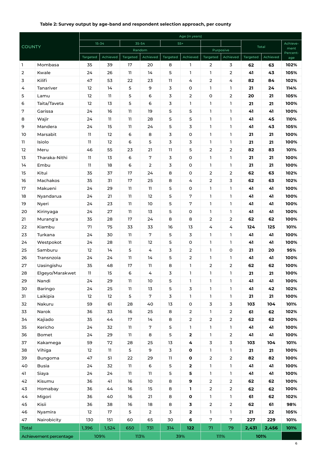#### **Table 2: Survey output by age-band and respondent selection approach, per county**

|                        |                  | Age (in years) |                   |          |                   |               |                |                            |                |          |          |                  |
|------------------------|------------------|----------------|-------------------|----------|-------------------|---------------|----------------|----------------------------|----------------|----------|----------|------------------|
|                        | <b>COUNTY</b>    |                | $15 - 34$         |          | 35-54             |               | $55+$          |                            |                |          | Total    |                  |
|                        |                  |                |                   | Random   |                   |               |                | Purposive                  |                |          |          | ment<br>Percent- |
|                        |                  | Targeted       | Achieved          | Targeted | Achieved          | Targeted      | Achieved<br>1  | Targeted<br>$\overline{2}$ | Achieved<br>3  | Targeted | Achieved | age              |
| Т.<br>2                | Mombasa<br>Kwale | 35<br>24       | 39<br>26          | 17<br>11 | 20<br>14          | 8<br>5        | 1              | 1                          | $\overline{2}$ | 62<br>41 | 63<br>43 | 102%<br>105%     |
| 3                      | Kilifi           | 47             | 53                | 22       | 23                | 11            | 4              | $\overline{2}$             | 4              | 82       | 84       | 102%             |
| 4                      | Tanariver        | 12             | 14                | 5        | 9                 | 3             | 0              | <b>L</b>                   | 1.             | 21       | 24       | 114%             |
| 5                      | Lamu             | 12             | 11                | 5        | 6                 | 3             | $\overline{2}$ | $\mathsf O$                | $\overline{2}$ | 20       | 21       | 105%             |
| 6                      | Taita/Taveta     | 12             | 13                | 5        | 6                 | 3             | 1              | $\mathbf{1}$               | 1              | 21       | 21       | 100%             |
| 7                      | Garissa          | 24             | 16                | 11       | 19                | 5             | 5              | $\mathbf{1}$               | L              | 41       | 41       | 100%             |
| 8                      | Wajir            | 24             | 11                | 11       | 28                | 5             | 5              | $\mathbf{1}$               | $\mathbf{I}$   | 41       | 45       | 110%             |
| 9                      | Mandera          | 24             | 15                | 11       | 24                | 5             | 3              | 1                          | 1              | 41       | 43       | 105%             |
| 10                     | Marsabit         | 11             | $12 \overline{ }$ | 6        | 8                 | 3             | o              | $\mathbf{1}$               | $\mathbf{1}$   | 21       | 21       | 100%             |
| 11.                    | Isiolo           | $\mathbf{11}$  | 12                | 6        | 5                 | 3             | 3              | $\mathbf{1}$               | 1              | 21       | 21       | 100%             |
| 12                     | Meru             | 46             | 55                | 23       | 21                | 11            | 5              | $\overline{2}$             | 2              | 82       | 83       | 101%             |
| 13                     | Tharaka-Nithi    | 11             | 13                | 6        | 7                 | 3             | 0              | $\mathbf{1}$               | $\mathbf{1}$   | 21       | 21       | 100%             |
| 14                     | Embu             | 11             | 18                | 6        | $\overline{2}$    | 3             | 0              | <b>L</b>                   | 1              | 21       | 21       | 100%             |
| 15                     | Kitui            | 35             | 37                | 17       | 24                | 8             | 0              | $\overline{2}$             | $\overline{2}$ | 62       | 63       | 102%             |
| 16                     | Machakos         | 35             | 31                | 17       | 25                | 8             | 4              | $\overline{2}$             | 3              | 62       | 63       | 102%             |
| 17                     | Makueni          | 24             | 29                | 11       | 11                | 5             | 0              | $\mathbf{1}$               | $\mathbf{1}$   | 41       | 41       | 100%             |
| 18                     | Nyandarua        | 24             | 21                | 11       | 12                | 5             | 7              | $\mathbf{1}$               | $\mathbf{1}$   | 41       | 41       | 100%             |
| 19                     | Nyeri            | 24             | 23                | 11       | 10                | 5             | 7              | 1                          | 1              | 41       | 41       | 100%             |
| 20                     | Kirinyaga        | 24             | 27                | 11       | 13                | 5             | $\mathsf O$    | 1                          | $\mathbf{1}$   | 41       | 41       | 100%             |
| 21                     | Murang'a         | 35             | 28                | 17       | 24                | 8             | 8              | $\overline{2}$             | $\overline{2}$ | 62       | 62       | 100%             |
| 22                     | Kiambu           | 71             | 75                | 33       | 33                | 16            | 13             | 4                          | 4              | 124      | 125      | 101%             |
| 23                     | Turkana          | 24             | 30                | 11       | 7                 | 5             | 3              | $\mathbf{1}$               | $\mathbf{1}$   | 41       | 41       | 100%             |
| 24                     | Westpokot        | 24             | 28                | 11       | $12 \overline{ }$ | 5             | $\mathsf O$    | 1                          | 1.             | 41       | 41       | 100%             |
| 25                     | Samburu          | 12             | 14                | 5        | 4                 | 3             | $\overline{2}$ | <b>L</b>                   | $\mathsf O$    | 21       | 20       | 95%              |
| 26                     | Transnzoia       | 24             | 24                | 11       | 14                | 5             | 2              | <b>L</b>                   | 1.             | 41       | 41       | 100%             |
| 27                     | Uasingishu       | 35             | 48                | 17       | 11                | 8             | 1              | $\overline{2}$             | 2              | 62       | 62       | 100%             |
| 28                     | Elgeyo/Marakwet  | 11             | 15                | 6        | 4                 | 3             | 1              | L                          | $\mathbf{1}$   | 21       | 21       | 100%             |
| 29                     | Nandi            | 24             | 29                | 11       | 10                | 5             | 1              | $\mathbf{1}$               | 1              | 41       | 41       | 100%             |
| 30                     | Baringo          | 24             | 25                | 11       | 13                | 5             | 3              | $\mathbf{1}$               | 1              | 41       | 42       | 102%             |
| 31                     | Laikipia         | 12             | 12                | 5        | 7                 | 3             | 1              | $\mathbf{1}$               | 1              | 21       | 21       | 100%             |
| 32                     | Nakuru           | 59             | 61                | 28       | 40                | 13            | O              | $\overline{3}$             | 3              | 103      | 104      | 101%             |
| 33                     | Narok            | 36             | 33                | 16       | 25                | 8             | $\overline{2}$ | $\mathbf{1}$               | $\overline{2}$ | 61       | 62       | 102%             |
| 34                     | Kajiado          | 35             | 44                | $17\,$   | 14                | 8             | $\mathbf{2}$   | $\overline{2}$             | $\overline{2}$ | 62       | 62       | 100%             |
| 35                     | Kericho          | 24             | 32                | 11       | $7\phantom{.}$    | 5             | 1              | $\mathbf{1}$               | 1              | 41       | 41       | 100%             |
| 36                     | Bomet            | 24             | 29                | 11       | 8                 | 5             | $\mathbf 2$    | $\mathbf{1}$               | $\overline{2}$ | 41       | 41       | 100%             |
| 37                     | Kakamega         | 59             | 72                | 28       | 25                | $13\,$        | 4              | $\overline{\mathbf{3}}$    | 3              | 103      | 104      | 101%             |
| 38                     | Vihiga           | 12             | 11                | 5        | 9                 | $\mathbf 3$   | $\mathbf 0$    | $\mathbf{1}$               | 1              | 21       | 21       | 100%             |
| 39                     | Bungoma          | 47             | 51                | 22       | 29                | $\mathbf{11}$ | $\mathbf{o}$   | $\overline{2}$             | $\mathbf{2}$   | 82       | 82       | 100%             |
| 40                     | <b>Busia</b>     | 24             | 32                | 11       | 6                 | 5             | $\mathbf 2$    | $\mathbf{1}$               | 1              | 41       | 41       | 100%             |
| 41                     | Siaya            | 24             | 24                | 11       | 11                | 5             | 5              | $\mathbf{1}$               | $\mathbf{1}$   | 41       | 41       | 100%             |
| 42                     | Kisumu           | 36             | 41                | 16       | 10                | 8             | 9              | $\overline{2}$             | $\mathbf{2}$   | 62       | 62       | 100%             |
| 43                     | Homabay          | 36             | 44                | 16       | 15                | 8             | 1              | $\overline{2}$             | $\overline{2}$ | 62       | 62       | 100%             |
| 44                     | Migori           | 36             | 40                | 16       | 21                | 8             | $\mathbf{o}$   | $\mathbf{1}$               | $\mathbf{I}$   | 61       | 62       | 102%             |
| 45                     | Kisii            | 36             | 38                | 16       | 18                | 8             | 3              | $\overline{2}$             | $\overline{2}$ | 62       | 61       | 98%              |
| 46                     | Nyamira          | 12             | $17\,$            | 5        | $\overline{2}$    | 3             | 2              | $\mathbf 1$                | $\mathbf{I}$   | 21       | 22       | 105%             |
| 47                     | Nairobicity      | 130            | 151               | 60       | 65                | 30            | 6              | $\overline{7}$             | $\overline{7}$ | 227      | 229      | 101%             |
| Total                  |                  | 1,396          | 1,524             | 650      | 731               | 314           | 122            | $71\,$                     | 79             | 2,431    | 2,456    | 101%             |
| Achievement percentage |                  |                | 109%              |          | 113%              |               | 39%            |                            | $111\%$        |          | 101%     |                  |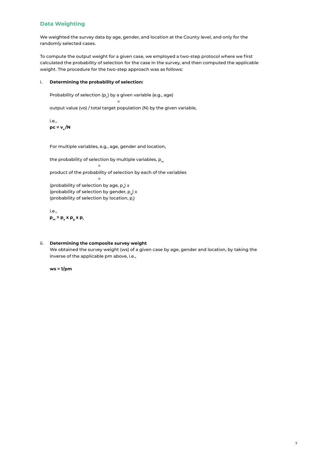#### **Data Weighting**

We weighted the survey data by age, gender, and location at the County level, and only for the randomly selected cases.

To compute the output weight for a given case, we employed a two-step protocol where we first calculated the probability of selection for the case in the survey, and then computed the applicable weight. The procedure for the two-step approach was as follows:

#### i. **Determining the probability of selection:**

en and the state of the state of the state of the state of the state of the state of the state of the state of

Probability of selection (p $_{\rm c}$ ) by a given variable (e.g., age)

output value (vo) / total target population (N) by the given variable,

i.e.,  $pc = v_0 / N$ 

For multiple variables, e.g., age, gender and location,

the probability of selection by multiple variables,  $p_m$ 

product of the probability of selection by each of the variables

(probability of selection by age,  $p_a$ ) x (probability of selection by gender,  $p_q$ ) x (probability of selection by location,  ${\sf p}_{_\|}$ )

i.e.,  $\mathbf{p}_m = \mathbf{p}_a \times \mathbf{p}_a \times \mathbf{p}_1$ 

=

=

#### ii. **Determining the composite survey weight**

We obtained the survey weight (ws) of a given case by age, gender and location, by taking the inverse of the applicable pm above, i.e.,

**ws = 1/pm**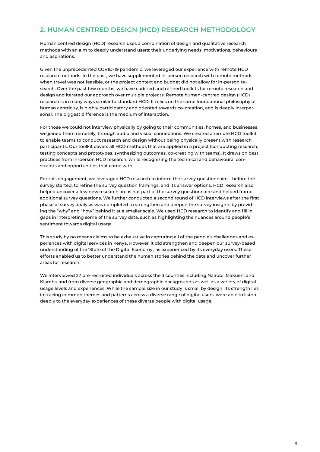## **2. HUMAN CENTRED DESIGN (HCD) RESEARCH METHODOLOGY**

Human centred design (HCD) research uses a combination of design and qualitative research methods with an aim to deeply understand users: their underlying needs, motivations, behaviours and aspirations.

Given the unprecedented COVID-19 pandemic, we leveraged our experience with remote HCD research methods. In the past, we have supplemented in-person research with remote methods when travel was not feasible, or the project context and budget did not allow for in-person research. Over the past few months, we have codified and refined toolkits for remote research and design and iterated our approach over multiple projects. Remote human-centred design (HCD) research is in many ways similar to standard HCD. It relies on the same foundational philosophy of human centricity, is highly participatory and oriented towards co-creation, and is deeply interpersonal. The biggest difference is the medium of interaction.

For those we could not interview physically by going to their communities, homes, and businesses, we joined them remotely, through audio and visual connections. We created a remote HCD toolkit to enable teams to conduct research and design without being physically present with research participants. Our toolkit covers all HCD methods that are applied in a project (conducting research, testing concepts and prototypes, synthesizing outcomes, co-creating with teams). It draws on best practices from in-person HCD research, while recognizing the technical and behavioural constraints and opportunities that come with

For this engagement, we leveraged HCD research to inform the survey questionnaire – before the survey started, to refine the survey question framings, and its answer options. HCD research also helped uncover a few new research areas not part of the survey questionnaire and helped frame additional survey questions. We further conducted a second round of HCD interviews after the first phase of survey analysis was completed to strengthen and deepen the survey insights by providing the "why" and "how" behind it at a smaller scale. We used HCD research to identify and fill in gaps in interpreting some of the survey data, such as highlighting the nuances around people's sentiment towards digital usage.

This study by no means claims to be exhaustive in capturing all of the people's challenges and experiences with digital services in Kenya. However, it did strengthen and deepen our survey-based understanding of the 'State of the Digital Economy', as experienced by its everyday users. These efforts enabled us to better understand the human stories behind the data and uncover further areas for research.

We interviewed 27 pre-recruited individuals across the 3 counties including Nairobi, Makueni and Kiambu and from diverse geographic and demographic backgrounds as well as a variety of digital usage levels and experiences. While the sample size in our study is small by design, its strength lies in tracing common themes and patterns across a diverse range of digital users. were able to listen deeply to the everyday experiences of these diverse people with digital usage.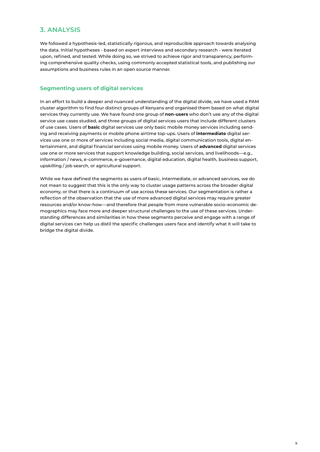### **3. ANALYSIS**

We followed a hypothesis-led, statistically rigorous, and reproducible approach towards analysing the data. Initial hypotheses - based on expert interviews and secondary research - were iterated upon, refined, and tested. While doing so, we strived to achieve rigor and transparency, performing comprehensive quality checks, using commonly accepted statistical tools, and publishing our assumptions and business rules in an open source manner.

#### **Segmenting users of digital services**

In an effort to build a deeper and nuanced understanding of the digital divide, we have used a PAM cluster algorithm to find four distinct groups of Kenyans and organised them based on what digital services they currently use. We have found one group of **non-users** who don't use any of the digital service use cases studied, and three groups of digital services users that include different clusters of use cases. Users of **basic** digital services use only basic mobile money services including sending and receiving payments or mobile phone airtime top-ups. Users of **intermediate** digital services use one or more of services including social media, digital communication tools, digital entertainment, and digital financial services using mobile money. Users of **advanced** digital services use one or more services that support knowledge building, social services, and livelihoods—e.g., information / news, e-commerce, e-governance, digital education, digital health, business support, upskilling / job search, or agricultural support.

While we have defined the segments as users of basic, intermediate, or advanced services, we do not mean to suggest that this is the only way to cluster usage patterns across the broader digital economy, or that there is a continuum of use across these services. Our segmentation is rather a reflection of the observation that the use of more advanced digital services may require greater resources and/or know-how—and therefore that people from more vulnerable socio-economic demographics may face more and deeper structural challenges to the use of these services. Understanding differences and similarities in how these segments perceive and engage with a range of digital services can help us distil the specific challenges users face and identify what it will take to bridge the digital divide.